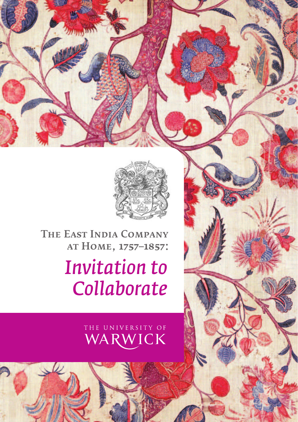

The East India Company at Home, 1757–1857: *Invitation to Collaborate*

# THE UNIVERSITY OF WARWICK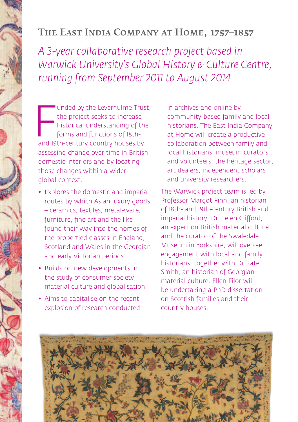### The East India Company at Home, 1757–1857

*A 3-year collaborative research project based in Warwick University's Global History & Culture Centre, running from September 2011 to August 2014*

unded by the Leverhulme Trus<br>the project seeks to increase<br>historical understanding of th<br>forms and functions of 18th-<br>and 19th-century country houses by unded by the Leverhulme Trust, the project seeks to increase historical understanding of the forms and functions of 18thassessing change over time in British domestic interiors and by locating those changes within a wider, global context.

- Explores the domestic and imperial routes by which Asian luxury goods – ceramics, textiles, metal-ware, furniture, fine art and the like – found their way into the homes of the propertied classes in England, Scotland and Wales in the Georgian and early Victorian periods.
- Builds on new developments in the study of consumer society, material culture and globalisation.
- Aims to capitalise on the recent explosion of research conducted

in archives and online by community-based family and local historians. The East India Company at Home will create a productive collaboration between family and local historians, museum curators and volunteers, the heritage sector, art dealers, independent scholars and university researchers.

The Warwick project team is led by Professor Margot Finn, an historian of 18th- and 19th-century British and imperial history. Dr Helen Clifford, an expert on British material culture and the curator of the Swaledale Museum in Yorkshire, will oversee engagement with local and family historians, together with Dr Kate Smith, an historian of Georgian material culture. Ellen Filor will be undertaking a PhD dissertation on Scottish families and their country houses.

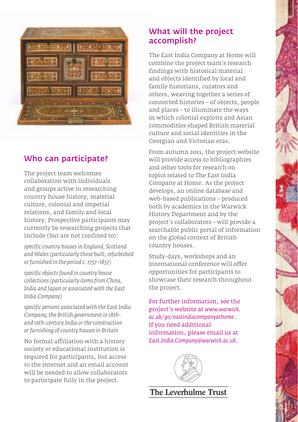

#### Who can participate?

The project team welcomes collaboration with individuals and groups active in researching country house history, material culture, colonial and imperial relations, and family and local history. Prospective participants may currently be researching projects that include (but are not confined to):

*specific country houses in England, Scotland and Wales (particularly those built, refurbished or furnished in the period c. 1757–1857)*

*specific objects found in country house collections (particularly items from China, India and Japan or associated with the East India Company)*

*specific persons associated with the EastIndia Company, the British government in 18thand 19th-century India or the construction or furnishing of country houses in Britain*

No formal affiliation with a history society or educational institution is required for participants, but access to the internet and an email account will be needed to allow collaborators to participate fully in the project.

#### What will the project accomplish?

The East India Company at Home will combine the project team's research findings with historical material and objects identified by local and family historians, curators and others, weaving together a series of connected histories – of objects, people and places – to illuminate the ways in which colonial exploits and Asian commodities shaped British material culture and social identities in the Georgian and Victorian eras.

From autumn 2011, the project website will provide access to bibliographies and other tools for research on topics related to The East India Company at Home. As the project develops, an online database and web-based publications – produced both by academics in the Warwick History Department and by the project's collaborators – will provide a searchable public portal of information on the global context of British country houses.

Study-days, workshops and an international conference will offer opportunities for participants to showcase their research throughout the project.

For further information, see the project's website at *www.warwick. ac.uk/go/eastindiacompanyathome*. If you need additional information, please email us at *East.India.Company@warwick.ac.uk*.



The Leverhulme Trust